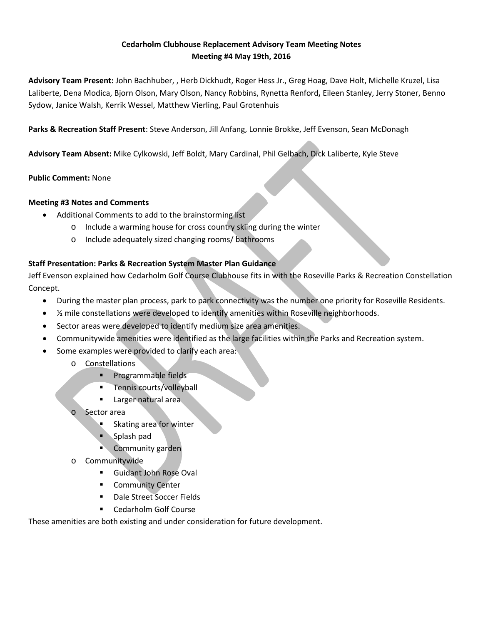## **Cedarholm Clubhouse Replacement Advisory Team Meeting Notes Meeting #4 May 19th, 2016**

**Advisory Team Present:** John Bachhuber, , Herb Dickhudt, Roger Hess Jr., Greg Hoag, Dave Holt, Michelle Kruzel, Lisa Laliberte, Dena Modica, Bjorn Olson, Mary Olson, Nancy Robbins, Rynetta Renford**,** Eileen Stanley, Jerry Stoner, Benno Sydow, Janice Walsh, Kerrik Wessel, Matthew Vierling, Paul Grotenhuis

**Parks & Recreation Staff Present**: Steve Anderson, Jill Anfang, Lonnie Brokke, Jeff Evenson, Sean McDonagh

**Advisory Team Absent:** Mike Cylkowski, Jeff Boldt, Mary Cardinal, Phil Gelbach, Dick Laliberte, Kyle Steve

## **Public Comment:** None

## **Meeting #3 Notes and Comments**

- Additional Comments to add to the brainstorming list
	- o Include a warming house for cross country skiing during the winter
	- o Include adequately sized changing rooms/ bathrooms

## **Staff Presentation: Parks & Recreation System Master Plan Guidance**

Jeff Evenson explained how Cedarholm Golf Course Clubhouse fits in with the Roseville Parks & Recreation Constellation Concept.

- During the master plan process, park to park connectivity was the number one priority for Roseville Residents.
- $\frac{1}{2}$  mile constellations were developed to identify amenities within Roseville neighborhoods.
- Sector areas were developed to identify medium size area amenities.
- Communitywide amenities were identified as the large facilities within the Parks and Recreation system.
- Some examples were provided to clarify each area:
	- o Constellations
		- **Programmable fields**
		- **Tennis courts/volleyball**
		- **Larger natural area**
	- Sector area
		- Skating area for winter
		- Splash pad
		- Community garden
	- o Communitywide
		- Guidant John Rose Oval
		- Community Center
		- **Dale Street Soccer Fields**
		- Cedarholm Golf Course

These amenities are both existing and under consideration for future development.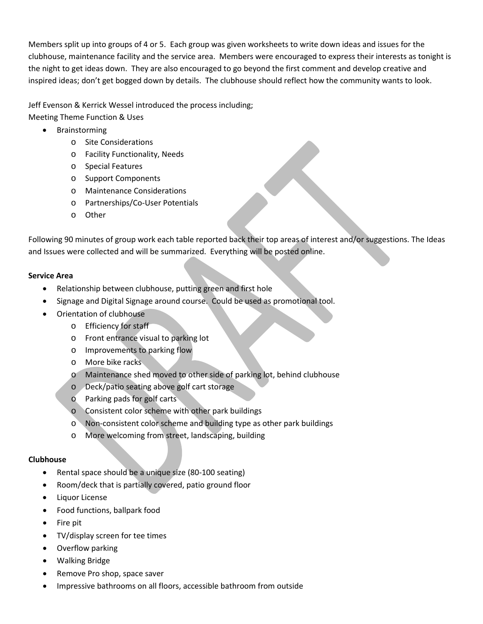Members split up into groups of 4 or 5. Each group was given worksheets to write down ideas and issues for the clubhouse, maintenance facility and the service area. Members were encouraged to express their interests as tonight is the night to get ideas down. They are also encouraged to go beyond the first comment and develop creative and inspired ideas; don't get bogged down by details. The clubhouse should reflect how the community wants to look.

Jeff Evenson & Kerrick Wessel introduced the process including;

Meeting Theme Function & Uses

- Brainstorming
	- o Site Considerations
	- o Facility Functionality, Needs
	- o Special Features
	- o Support Components
	- o Maintenance Considerations
	- o Partnerships/Co-User Potentials
	- o Other

Following 90 minutes of group work each table reported back their top areas of interest and/or suggestions. The Ideas and Issues were collected and will be summarized. Everything will be posted online.

## **Service Area**

- Relationship between clubhouse, putting green and first hole
- Signage and Digital Signage around course. Could be used as promotional tool.
- Orientation of clubhouse
	- o Efficiency for staff
	- o Front entrance visual to parking lot
	- o Improvements to parking flow
	- o More bike racks
	- o Maintenance shed moved to other side of parking lot, behind clubhouse
	- o Deck/patio seating above golf cart storage
	- o Parking pads for golf carts
	- o Consistent color scheme with other park buildings
	- o Non-consistent color scheme and building type as other park buildings
	- o More welcoming from street, landscaping, building

# **Clubhouse**

- Rental space should be a unique size (80-100 seating)
- Room/deck that is partially covered, patio ground floor
- Liquor License
- Food functions, ballpark food
- Fire pit
- TV/display screen for tee times
- Overflow parking
- Walking Bridge
- Remove Pro shop, space saver
- Impressive bathrooms on all floors, accessible bathroom from outside